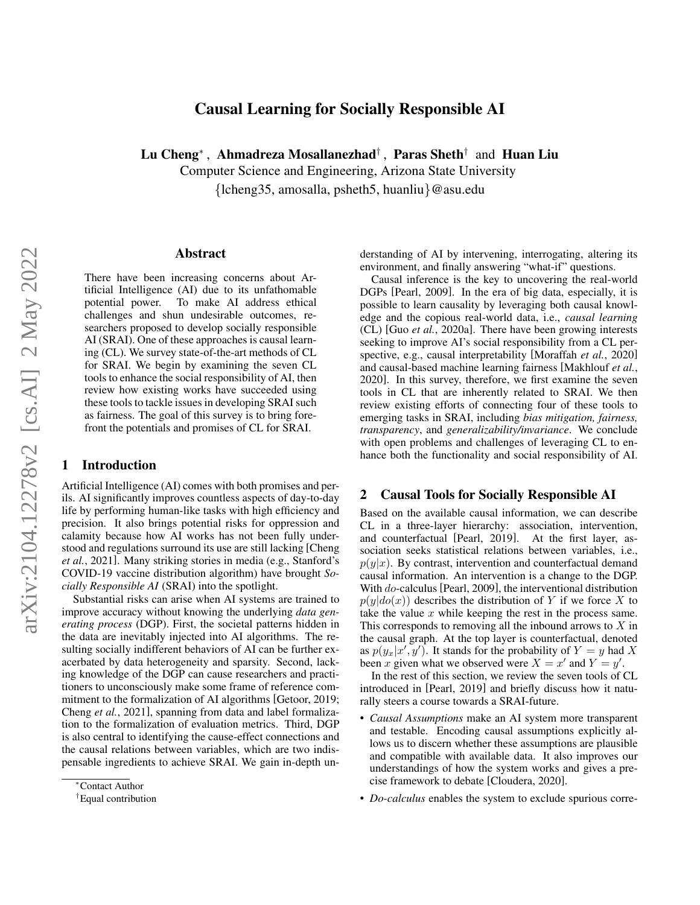# Causal Learning for Socially Responsible AI

Lu Cheng<sup>∗</sup> , Ahmadreza Mosallanezhad† , Paras Sheth† and Huan Liu

Computer Science and Engineering, Arizona State University {lcheng35, amosalla, psheth5, huanliu}@asu.edu

#### Abstract

There have been increasing concerns about Artificial Intelligence (AI) due to its unfathomable potential power. To make AI address ethical challenges and shun undesirable outcomes, researchers proposed to develop socially responsible AI (SRAI). One of these approaches is causal learning (CL). We survey state-of-the-art methods of CL for SRAI. We begin by examining the seven CL tools to enhance the social responsibility of AI, then review how existing works have succeeded using these tools to tackle issues in developing SRAI such as fairness. The goal of this survey is to bring forefront the potentials and promises of CL for SRAI.

# 1 Introduction

Artificial Intelligence (AI) comes with both promises and perils. AI significantly improves countless aspects of day-to-day life by performing human-like tasks with high efficiency and precision. It also brings potential risks for oppression and calamity because how AI works has not been fully understood and regulations surround its use are still lacking [\[Cheng](#page-6-0) *et al.*[, 2021\]](#page-6-0). Many striking stories in media (e.g., Stanford's COVID-19 vaccine distribution algorithm) have brought *Socially Responsible AI* (SRAI) into the spotlight.

Substantial risks can arise when AI systems are trained to improve accuracy without knowing the underlying *data generating process* (DGP). First, the societal patterns hidden in the data are inevitably injected into AI algorithms. The resulting socially indifferent behaviors of AI can be further exacerbated by data heterogeneity and sparsity. Second, lacking knowledge of the DGP can cause researchers and practitioners to unconsciously make some frame of reference com-mitment to the formalization of AI algorithms [\[Getoor, 2019;](#page-6-1) Cheng *et al.*[, 2021\]](#page-6-0), spanning from data and label formalization to the formalization of evaluation metrics. Third, DGP is also central to identifying the cause-effect connections and the causal relations between variables, which are two indispensable ingredients to achieve SRAI. We gain in-depth understanding of AI by intervening, interrogating, altering its environment, and finally answering "what-if" questions.

Causal inference is the key to uncovering the real-world DGPs [\[Pearl, 2009\]](#page-7-0). In the era of big data, especially, it is possible to learn causality by leveraging both causal knowledge and the copious real-world data, i.e., *causal learning* (CL) [Guo *et al.*[, 2020a\]](#page-6-2). There have been growing interests seeking to improve AI's social responsibility from a CL perspective, e.g., causal interpretability [\[Moraffah](#page-7-1) *et al.*, 2020] and causal-based machine learning fairness [\[Makhlouf](#page-7-2) *et al.*, [2020\]](#page-7-2). In this survey, therefore, we first examine the seven tools in CL that are inherently related to SRAI. We then review existing efforts of connecting four of these tools to emerging tasks in SRAI, including *bias mitigation, fairness, transparency*, and *generalizability/invariance*. We conclude with open problems and challenges of leveraging CL to enhance both the functionality and social responsibility of AI.

### 2 Causal Tools for Socially Responsible AI

Based on the available causal information, we can describe CL in a three-layer hierarchy: association, intervention, and counterfactual [\[Pearl, 2019\]](#page-7-3). At the first layer, association seeks statistical relations between variables, i.e.,  $p(y|x)$ . By contrast, intervention and counterfactual demand causal information. An intervention is a change to the DGP. With do-calculus [\[Pearl, 2009\]](#page-7-0), the interventional distribution  $p(y|do(x))$  describes the distribution of Y if we force X to take the value  $x$  while keeping the rest in the process same. This corresponds to removing all the inbound arrows to  $X$  in the causal graph. At the top layer is counterfactual, denoted as  $p(y_x|x', y')$ . It stands for the probability of  $Y = y$  had X been x given what we observed were  $X = x'$  and  $Y = y'$ .

In the rest of this section, we review the seven tools of CL introduced in [\[Pearl, 2019\]](#page-7-3) and briefly discuss how it naturally steers a course towards a SRAI-future.

- *Causal Assumptions* make an AI system more transparent and testable. Encoding causal assumptions explicitly allows us to discern whether these assumptions are plausible and compatible with available data. It also improves our understandings of how the system works and gives a precise framework to debate [\[Cloudera, 2020\]](#page-6-3).
- *Do-calculus* enables the system to exclude spurious corre-

<sup>∗</sup>Contact Author

<sup>†</sup>Equal contribution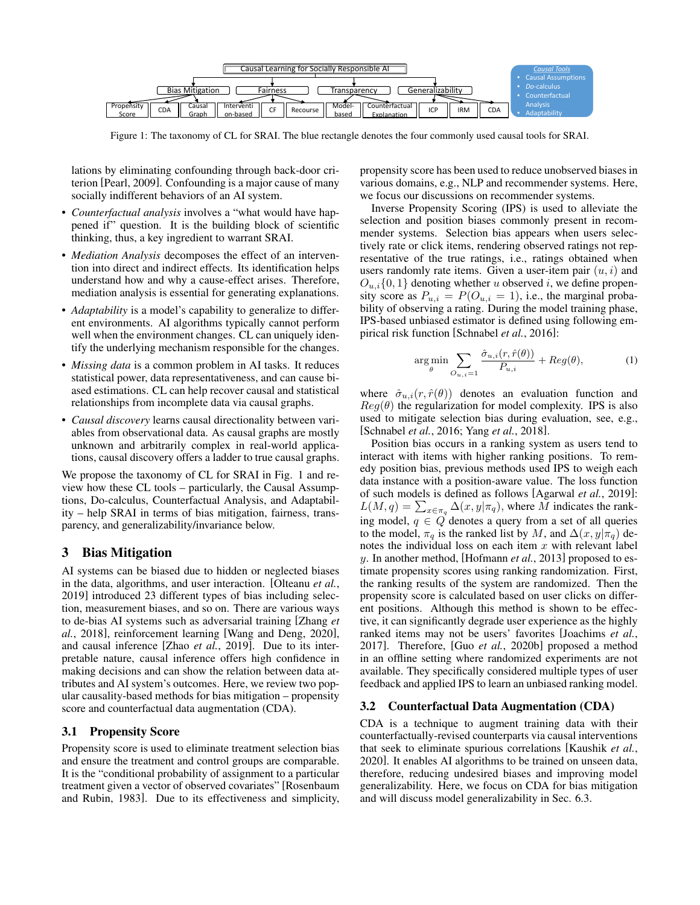<span id="page-1-0"></span>

Figure 1: The taxonomy of CL for SRAI. The blue rectangle denotes the four commonly used causal tools for SRAI.

lations by eliminating confounding through back-door criterion [\[Pearl, 2009\]](#page-7-0). Confounding is a major cause of many socially indifferent behaviors of an AI system.

- *Counterfactual analysis* involves a "what would have happened if" question. It is the building block of scientific thinking, thus, a key ingredient to warrant SRAI.
- *Mediation Analysis* decomposes the effect of an intervention into direct and indirect effects. Its identification helps understand how and why a cause-effect arises. Therefore, mediation analysis is essential for generating explanations.
- *Adaptability* is a model's capability to generalize to different environments. AI algorithms typically cannot perform well when the environment changes. CL can uniquely identify the underlying mechanism responsible for the changes.
- *Missing data* is a common problem in AI tasks. It reduces statistical power, data representativeness, and can cause biased estimations. CL can help recover causal and statistical relationships from incomplete data via causal graphs.
- *Causal discovery* learns causal directionality between variables from observational data. As causal graphs are mostly unknown and arbitrarily complex in real-world applications, causal discovery offers a ladder to true causal graphs.

We propose the taxonomy of CL for SRAI in Fig. [1](#page-1-0) and review how these CL tools – particularly, the Causal Assumptions, Do-calculus, Counterfactual Analysis, and Adaptability – help SRAI in terms of bias mitigation, fairness, transparency, and generalizability/invariance below.

# 3 Bias Mitigation

AI systems can be biased due to hidden or neglected biases in the data, algorithms, and user interaction. [\[Olteanu](#page-7-4) *et al.*, [2019\]](#page-7-4) introduced 23 different types of bias including selection, measurement biases, and so on. There are various ways to de-bias AI systems such as adversarial training [\[Zhang](#page-7-5) *et al.*[, 2018\]](#page-7-5), reinforcement learning [\[Wang and Deng, 2020\]](#page-7-6), and causal inference [Zhao *et al.*[, 2019\]](#page-7-7). Due to its interpretable nature, causal inference offers high confidence in making decisions and can show the relation between data attributes and AI system's outcomes. Here, we review two popular causality-based methods for bias mitigation – propensity score and counterfactual data augmentation (CDA).

# 3.1 Propensity Score

Propensity score is used to eliminate treatment selection bias and ensure the treatment and control groups are comparable. It is the "conditional probability of assignment to a particular treatment given a vector of observed covariates" [\[Rosenbaum](#page-7-8) [and Rubin, 1983\]](#page-7-8). Due to its effectiveness and simplicity, propensity score has been used to reduce unobserved biases in various domains, e.g., NLP and recommender systems. Here, we focus our discussions on recommender systems.

Inverse Propensity Scoring (IPS) is used to alleviate the selection and position biases commonly present in recommender systems. Selection bias appears when users selectively rate or click items, rendering observed ratings not representative of the true ratings, i.e., ratings obtained when users randomly rate items. Given a user-item pair  $(u, i)$  and  $O_{u,i}\{0,1\}$  denoting whether u observed i, we define propensity score as  $P_{u,i} = P(O_{u,i} = 1)$ , i.e., the marginal probability of observing a rating. During the model training phase, IPS-based unbiased estimator is defined using following empirical risk function [\[Schnabel](#page-7-9) *et al.*, 2016]:

$$
\underset{\theta}{\arg\min} \sum_{O_{u,i}=1} \frac{\hat{\sigma}_{u,i}(r,\hat{r}(\theta))}{P_{u,i}} + Reg(\theta),\tag{1}
$$

where  $\hat{\sigma}_{u,i}(r,\hat{r}(\theta))$  denotes an evaluation function and  $Reg(\theta)$  the regularization for model complexity. IPS is also used to mitigate selection bias during evaluation, see, e.g., [\[Schnabel](#page-7-9) *et al.*, 2016; Yang *et al.*[, 2018\]](#page-7-10).

Position bias occurs in a ranking system as users tend to interact with items with higher ranking positions. To remedy position bias, previous methods used IPS to weigh each data instance with a position-aware value. The loss function of such models is defined as follows [\[Agarwal](#page-6-4) *et al.*, 2019]:  $L(M, q) = \sum_{x \in \pi_q} \Delta(x, y | \pi_q)$ , where M indicates the ranking model,  $q \in Q$  denotes a query from a set of all queries to the model,  $\pi_q$  is the ranked list by M, and  $\Delta(x, y | \pi_q)$  denotes the individual loss on each item  $x$  with relevant label y. In another method, [\[Hofmann](#page-6-5) *et al.*, 2013] proposed to estimate propensity scores using ranking randomization. First, the ranking results of the system are randomized. Then the propensity score is calculated based on user clicks on different positions. Although this method is shown to be effective, it can significantly degrade user experience as the highly ranked items may not be users' favorites [\[Joachims](#page-6-6) *et al.*, [2017\]](#page-6-6). Therefore, [Guo *et al.*[, 2020b\]](#page-6-7) proposed a method in an offline setting where randomized experiments are not available. They specifically considered multiple types of user feedback and applied IPS to learn an unbiased ranking model.

### 3.2 Counterfactual Data Augmentation (CDA)

CDA is a technique to augment training data with their counterfactually-revised counterparts via causal interventions that seek to eliminate spurious correlations [\[Kaushik](#page-6-8) *et al.*, [2020\]](#page-6-8). It enables AI algorithms to be trained on unseen data, therefore, reducing undesired biases and improving model generalizability. Here, we focus on CDA for bias mitigation and will discuss model generalizability in Sec. 6.3.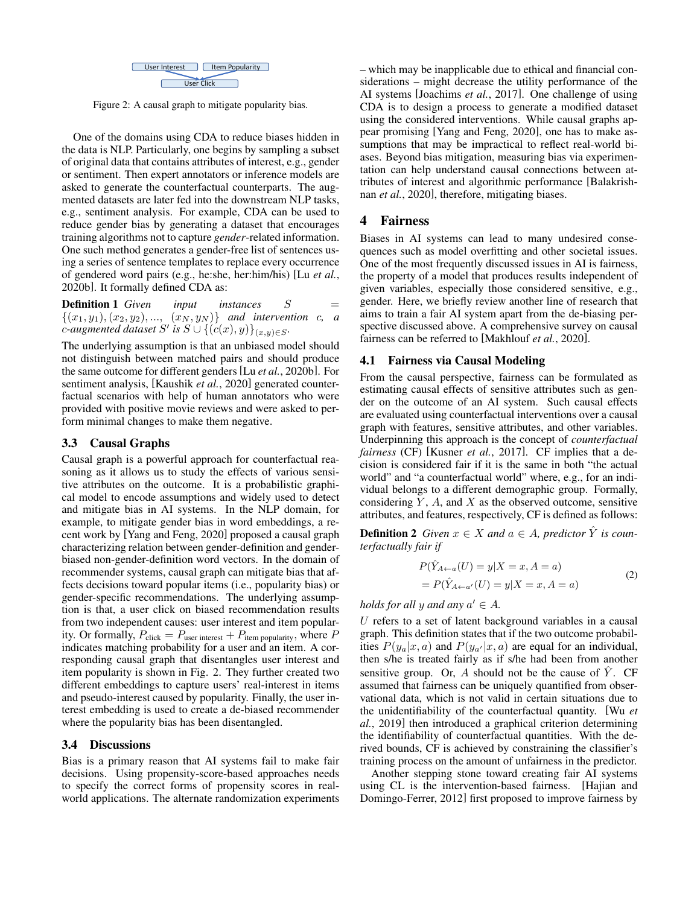

<span id="page-2-0"></span>Figure 2: A causal graph to mitigate popularity bias.

One of the domains using CDA to reduce biases hidden in the data is NLP. Particularly, one begins by sampling a subset of original data that contains attributes of interest, e.g., gender or sentiment. Then expert annotators or inference models are asked to generate the counterfactual counterparts. The augmented datasets are later fed into the downstream NLP tasks, e.g., sentiment analysis. For example, CDA can be used to reduce gender bias by generating a dataset that encourages training algorithms not to capture *gender*-related information. One such method generates a gender-free list of sentences using a series of sentence templates to replace every occurrence of gendered word pairs (e.g., he:she, her:him/his) [Lu *[et al.](#page-6-9)*, [2020b\]](#page-6-9). It formally defined CDA as:

**Definition 1** *Given input instances*  $S =$  $\{(x_1, y_1), (x_2, y_2), ..., (x_N, y_N)\}$  *and intervention c, a*  $\therefore$  *c*-augmented dataset  $S'$  is  $S \cup \{ (c(x), y) \}_{(x,y) \in S}$ .

The underlying assumption is that an unbiased model should not distinguish between matched pairs and should produce the same outcome for different genders [Lu *et al.*[, 2020b\]](#page-6-9). For sentiment analysis, [\[Kaushik](#page-6-8) *et al.*, 2020] generated counterfactual scenarios with help of human annotators who were provided with positive movie reviews and were asked to perform minimal changes to make them negative.

## 3.3 Causal Graphs

Causal graph is a powerful approach for counterfactual reasoning as it allows us to study the effects of various sensitive attributes on the outcome. It is a probabilistic graphical model to encode assumptions and widely used to detect and mitigate bias in AI systems. In the NLP domain, for example, to mitigate gender bias in word embeddings, a recent work by [\[Yang and Feng, 2020\]](#page-7-11) proposed a causal graph characterizing relation between gender-definition and genderbiased non-gender-definition word vectors. In the domain of recommender systems, causal graph can mitigate bias that affects decisions toward popular items (i.e., popularity bias) or gender-specific recommendations. The underlying assumption is that, a user click on biased recommendation results from two independent causes: user interest and item popularity. Or formally,  $P_{\text{click}} = P_{\text{user interest}} + P_{\text{item popularity}}$ , where P indicates matching probability for a user and an item. A corresponding causal graph that disentangles user interest and item popularity is shown in Fig. [2.](#page-2-0) They further created two different embeddings to capture users' real-interest in items and pseudo-interest caused by popularity. Finally, the user interest embedding is used to create a de-biased recommender where the popularity bias has been disentangled.

### 3.4 Discussions

Bias is a primary reason that AI systems fail to make fair decisions. Using propensity-score-based approaches needs to specify the correct forms of propensity scores in realworld applications. The alternate randomization experiments – which may be inapplicable due to ethical and financial considerations – might decrease the utility performance of the AI systems [\[Joachims](#page-6-6) *et al.*, 2017]. One challenge of using CDA is to design a process to generate a modified dataset using the considered interventions. While causal graphs appear promising [\[Yang and Feng, 2020\]](#page-7-11), one has to make assumptions that may be impractical to reflect real-world biases. Beyond bias mitigation, measuring bias via experimentation can help understand causal connections between attributes of interest and algorithmic performance [\[Balakrish](#page-6-10)nan *et al.*[, 2020\]](#page-6-10), therefore, mitigating biases.

# 4 Fairness

Biases in AI systems can lead to many undesired consequences such as model overfitting and other societal issues. One of the most frequently discussed issues in AI is fairness, the property of a model that produces results independent of given variables, especially those considered sensitive, e.g., gender. Here, we briefly review another line of research that aims to train a fair AI system apart from the de-biasing perspective discussed above. A comprehensive survey on causal fairness can be referred to [\[Makhlouf](#page-7-2) *et al.*, 2020].

#### 4.1 Fairness via Causal Modeling

From the causal perspective, fairness can be formulated as estimating causal effects of sensitive attributes such as gender on the outcome of an AI system. Such causal effects are evaluated using counterfactual interventions over a causal graph with features, sensitive attributes, and other variables. Underpinning this approach is the concept of *counterfactual fairness* (CF) [\[Kusner](#page-6-11) *et al.*, 2017]. CF implies that a decision is considered fair if it is the same in both "the actual world" and "a counterfactual world" where, e.g., for an individual belongs to a different demographic group. Formally, considering  $Y$ ,  $A$ , and  $X$  as the observed outcome, sensitive attributes, and features, respectively, CF is defined as follows:

**Definition 2** *Given*  $x \in X$  *and*  $a \in A$ *, predictor*  $\hat{Y}$  *is counterfactually fair if*

$$
P(\hat{Y}_{A \leftarrow a}(U) = y | X = x, A = a)
$$
  
= 
$$
P(\hat{Y}_{A \leftarrow a'}(U) = y | X = x, A = a)
$$
 (2)

*holds for all* y and any  $a' \in A$ .

 $U$  refers to a set of latent background variables in a causal graph. This definition states that if the two outcome probabilities  $P(y_a | x, a)$  and  $P(y_{a'} | x, a)$  are equal for an individual, then s/he is treated fairly as if s/he had been from another sensitive group. Or, A should not be the cause of  $\hat{Y}$ . CF assumed that fairness can be uniquely quantified from observational data, which is not valid in certain situations due to the unidentifiability of the counterfactual quantity. [\[Wu](#page-7-12) *et al.*[, 2019\]](#page-7-12) then introduced a graphical criterion determining the identifiability of counterfactual quantities. With the derived bounds, CF is achieved by constraining the classifier's training process on the amount of unfairness in the predictor.

Another stepping stone toward creating fair AI systems using CL is the intervention-based fairness. [\[Hajian and](#page-6-12) [Domingo-Ferrer, 2012\]](#page-6-12) first proposed to improve fairness by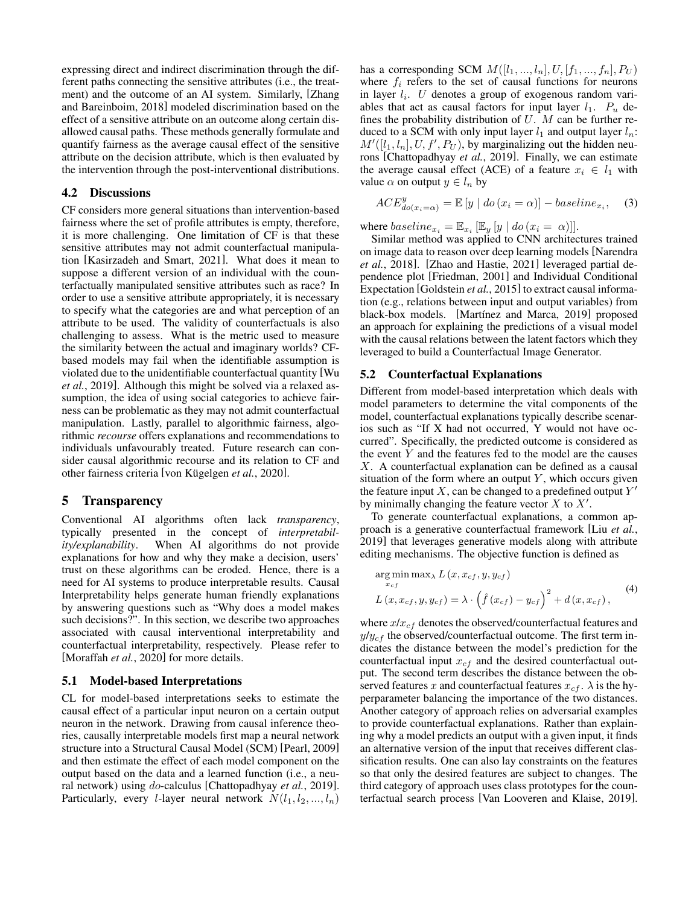expressing direct and indirect discrimination through the different paths connecting the sensitive attributes (i.e., the treatment) and the outcome of an AI system. Similarly, [\[Zhang](#page-7-13) [and Bareinboim, 2018\]](#page-7-13) modeled discrimination based on the effect of a sensitive attribute on an outcome along certain disallowed causal paths. These methods generally formulate and quantify fairness as the average causal effect of the sensitive attribute on the decision attribute, which is then evaluated by the intervention through the post-interventional distributions.

#### 4.2 Discussions

CF considers more general situations than intervention-based fairness where the set of profile attributes is empty, therefore, it is more challenging. One limitation of CF is that these sensitive attributes may not admit counterfactual manipulation [\[Kasirzadeh and Smart, 2021\]](#page-6-13). What does it mean to suppose a different version of an individual with the counterfactually manipulated sensitive attributes such as race? In order to use a sensitive attribute appropriately, it is necessary to specify what the categories are and what perception of an attribute to be used. The validity of counterfactuals is also challenging to assess. What is the metric used to measure the similarity between the actual and imaginary worlds? CFbased models may fail when the identifiable assumption is violated due to the unidentifiable counterfactual quantity [\[Wu](#page-7-12) *et al.*[, 2019\]](#page-7-12). Although this might be solved via a relaxed assumption, the idea of using social categories to achieve fairness can be problematic as they may not admit counterfactual manipulation. Lastly, parallel to algorithmic fairness, algorithmic *recourse* offers explanations and recommendations to individuals unfavourably treated. Future research can consider causal algorithmic recourse and its relation to CF and other fairness criteria [von Kügelgen *et al.*, 2020].

#### 5 Transparency

Conventional AI algorithms often lack *transparency*, typically presented in the concept of *interpretability/explanability*. When AI algorithms do not provide explanations for how and why they make a decision, users' trust on these algorithms can be eroded. Hence, there is a need for AI systems to produce interpretable results. Causal Interpretability helps generate human friendly explanations by answering questions such as "Why does a model makes such decisions?". In this section, we describe two approaches associated with causal interventional interpretability and counterfactual interpretability, respectively. Please refer to [\[Moraffah](#page-7-1) *et al.*, 2020] for more details.

#### 5.1 Model-based Interpretations

CL for model-based interpretations seeks to estimate the causal effect of a particular input neuron on a certain output neuron in the network. Drawing from causal inference theories, causally interpretable models first map a neural network structure into a Structural Causal Model (SCM) [\[Pearl, 2009\]](#page-7-0) and then estimate the effect of each model component on the output based on the data and a learned function (i.e., a neural network) using do-calculus [\[Chattopadhyay](#page-6-14) *et al.*, 2019]. Particularly, every *l*-layer neural network  $N(l_1, l_2, ..., l_n)$  has a corresponding SCM  $M([l_1, ..., l_n], U, [f_1, ..., f_n], P_U)$ where  $f_i$  refers to the set of causal functions for neurons in layer  $l_i$ . U denotes a group of exogenous random variables that act as causal factors for input layer  $l_1$ .  $P_u$  defines the probability distribution of  $U$ .  $M$  can be further reduced to a SCM with only input layer  $l_1$  and output layer  $l_n$ :  $M'([l_1, l_n], U, f', P_U)$ , by marginalizing out the hidden neurons [\[Chattopadhyay](#page-6-14) *et al.*, 2019]. Finally, we can estimate the average causal effect (ACE) of a feature  $x_i \in l_1$  with value  $\alpha$  on output  $y \in l_n$  by

$$
ACE_{do(x_i=\alpha)}^y = \mathbb{E}\left[y \mid do(x_i=\alpha)\right] - baseline_{x_i}, \quad (3)
$$

where  $baseline_{x_i} = \mathbb{E}_{x_i} [\mathbb{E}_y [y \mid do (x_i = \alpha)]].$ 

Similar method was applied to CNN architectures trained on image data to reason over deep learning models [\[Narendra](#page-7-15) *et al.*[, 2018\]](#page-7-15). [\[Zhao and Hastie, 2021\]](#page-7-16) leveraged partial dependence plot [\[Friedman, 2001\]](#page-6-15) and Individual Conditional Expectation [\[Goldstein](#page-6-16) *et al.*, 2015] to extract causal information (e.g., relations between input and output variables) from black-box models. [Martínez and Marca, 2019] proposed an approach for explaining the predictions of a visual model with the causal relations between the latent factors which they leveraged to build a Counterfactual Image Generator.

#### 5.2 Counterfactual Explanations

Different from model-based interpretation which deals with model parameters to determine the vital components of the model, counterfactual explanations typically describe scenarios such as "If X had not occurred, Y would not have occurred". Specifically, the predicted outcome is considered as the event  $Y$  and the features fed to the model are the causes X. A counterfactual explanation can be defined as a causal situation of the form where an output  $Y$ , which occurs given the feature input  $X$ , can be changed to a predefined output  $Y'$ by minimally changing the feature vector  $X$  to  $X'$ .

To generate counterfactual explanations, a common approach is a generative counterfactual framework [Liu *[et al.](#page-6-17)*, [2019\]](#page-6-17) that leverages generative models along with attribute editing mechanisms. The objective function is defined as

$$
\arg\min_{x_{cf}} \max_{\lambda} L(x, x_{cf}, y, y_{cf})
$$
  
\n
$$
L(x, x_{cf}, y, y_{cf}) = \lambda \cdot (\hat{f}(x_{cf}) - y_{cf})^2 + d(x, x_{cf}),
$$
\n(4)

where  $x/x_{cf}$  denotes the observed/counterfactual features and  $y/y<sub>cf</sub>$  the observed/counterfactual outcome. The first term indicates the distance between the model's prediction for the counterfactual input  $x_{cf}$  and the desired counterfactual output. The second term describes the distance between the observed features x and counterfactual features  $x_{cf}$ .  $\lambda$  is the hyperparameter balancing the importance of the two distances. Another category of approach relies on adversarial examples to provide counterfactual explanations. Rather than explaining why a model predicts an output with a given input, it finds an alternative version of the input that receives different classification results. One can also lay constraints on the features so that only the desired features are subject to changes. The third category of approach uses class prototypes for the counterfactual search process [\[Van Looveren and Klaise, 2019\]](#page-7-18).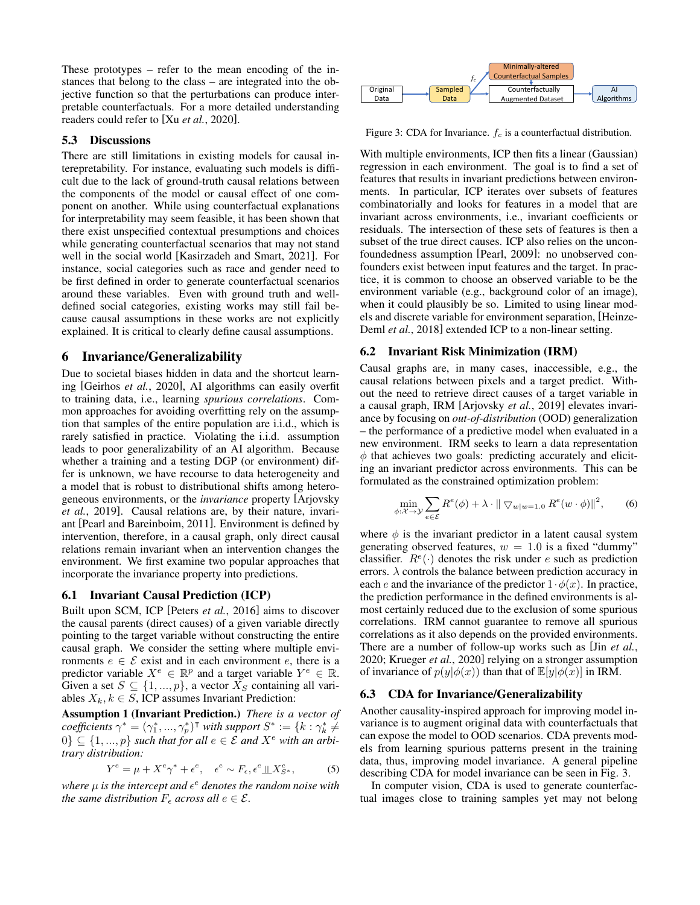These prototypes – refer to the mean encoding of the instances that belong to the class – are integrated into the objective function so that the perturbations can produce interpretable counterfactuals. For a more detailed understanding readers could refer to [Xu *et al.*[, 2020\]](#page-7-19).

### 5.3 Discussions

There are still limitations in existing models for causal interepretability. For instance, evaluating such models is difficult due to the lack of ground-truth causal relations between the components of the model or causal effect of one component on another. While using counterfactual explanations for interpretability may seem feasible, it has been shown that there exist unspecified contextual presumptions and choices while generating counterfactual scenarios that may not stand well in the social world [\[Kasirzadeh and Smart, 2021\]](#page-6-13). For instance, social categories such as race and gender need to be first defined in order to generate counterfactual scenarios around these variables. Even with ground truth and welldefined social categories, existing works may still fail because causal assumptions in these works are not explicitly explained. It is critical to clearly define causal assumptions.

### 6 Invariance/Generalizability

Due to societal biases hidden in data and the shortcut learning [\[Geirhos](#page-6-18) *et al.*, 2020], AI algorithms can easily overfit to training data, i.e., learning *spurious correlations*. Common approaches for avoiding overfitting rely on the assumption that samples of the entire population are i.i.d., which is rarely satisfied in practice. Violating the i.i.d. assumption leads to poor generalizability of an AI algorithm. Because whether a training and a testing DGP (or environment) differ is unknown, we have recourse to data heterogeneity and a model that is robust to distributional shifts among heterogeneous environments, or the *invariance* property [\[Arjovsky](#page-6-19) *et al.*[, 2019\]](#page-6-19). Causal relations are, by their nature, invariant [\[Pearl and Bareinboim, 2011\]](#page-7-20). Environment is defined by intervention, therefore, in a causal graph, only direct causal relations remain invariant when an intervention changes the environment. We first examine two popular approaches that incorporate the invariance property into predictions.

#### 6.1 Invariant Causal Prediction (ICP)

Built upon SCM, ICP [Peters *et al.*[, 2016\]](#page-7-21) aims to discover the causal parents (direct causes) of a given variable directly pointing to the target variable without constructing the entire causal graph. We consider the setting where multiple environments  $e \in \mathcal{E}$  exist and in each environment e, there is a predictor variable  $X^e \in \mathbb{R}^p$  and a target variable  $Y^e \in \mathbb{R}$ . Given a set  $S \subseteq \{1, ..., p\}$ , a vector  $X_S$  containing all variables  $X_k, k \in S$ , ICP assumes Invariant Prediction:

Assumption 1 (Invariant Prediction.) *There is a vector of*  $coefficients \ \gamma^* = (\gamma_1^*,...,\gamma_p^*)^{\intercal}$  *with support*  $S^* := \{k : \gamma_k^* \neq$ 0}  $\subseteq$  {1, ..., p} *such that for all*  $e \in \mathcal{E}$  *and*  $X^e$  *with an arbitrary distribution:*

$$
Y^{e} = \mu + X^{e} \gamma^* + \epsilon^{e}, \quad \epsilon^{e} \sim F_{\epsilon}, \epsilon^{e} \perp \!\!\! \perp X^{e}_{S^*}, \tag{5}
$$

where  $\mu$  is the intercept and  $\epsilon^e$  denotes the random noise with *the same distribution*  $F_{\epsilon}$  *across all*  $e \in \mathcal{E}$ *.* 

<span id="page-4-0"></span>

Figure 3: CDA for Invariance.  $f_c$  is a counterfactual distribution.

With multiple environments, ICP then fits a linear (Gaussian) regression in each environment. The goal is to find a set of features that results in invariant predictions between environments. In particular, ICP iterates over subsets of features combinatorially and looks for features in a model that are invariant across environments, i.e., invariant coefficients or residuals. The intersection of these sets of features is then a subset of the true direct causes. ICP also relies on the unconfoundedness assumption [\[Pearl, 2009\]](#page-7-0): no unobserved confounders exist between input features and the target. In practice, it is common to choose an observed variable to be the environment variable (e.g., background color of an image), when it could plausibly be so. Limited to using linear models and discrete variable for environment separation, [\[Heinze-](#page-6-20)Deml *et al.*[, 2018\]](#page-6-20) extended ICP to a non-linear setting.

#### 6.2 Invariant Risk Minimization (IRM)

Causal graphs are, in many cases, inaccessible, e.g., the causal relations between pixels and a target predict. Without the need to retrieve direct causes of a target variable in a causal graph, IRM [\[Arjovsky](#page-6-19) *et al.*, 2019] elevates invariance by focusing on *out-of-distribution* (OOD) generalization – the performance of a predictive model when evaluated in a new environment. IRM seeks to learn a data representation  $\phi$  that achieves two goals: predicting accurately and eliciting an invariant predictor across environments. This can be formulated as the constrained optimization problem:

$$
\min_{\phi:\mathcal{X}\to\mathcal{Y}} \sum_{e\in\mathcal{E}} R^e(\phi) + \lambda \cdot \|\nabla_{w|w=1.0} R^e(w \cdot \phi)\|^2, \qquad (6)
$$

where  $\phi$  is the invariant predictor in a latent causal system generating observed features,  $w = 1.0$  is a fixed "dummy" classifier.  $R^e(\cdot)$  denotes the risk under e such as prediction errors.  $\lambda$  controls the balance between prediction accuracy in each e and the invariance of the predictor  $1 \cdot \phi(x)$ . In practice, the prediction performance in the defined environments is almost certainly reduced due to the exclusion of some spurious correlations. IRM cannot guarantee to remove all spurious correlations as it also depends on the provided environments. There are a number of follow-up works such as [Jin *[et al.](#page-6-21)*, [2020;](#page-6-21) [Krueger](#page-6-22) *et al.*, 2020] relying on a stronger assumption of invariance of  $p(y|\phi(x))$  than that of  $\mathbb{E}[y|\phi(x)]$  in IRM.

### 6.3 CDA for Invariance/Generalizability

Another causality-inspired approach for improving model invariance is to augment original data with counterfactuals that can expose the model to OOD scenarios. CDA prevents models from learning spurious patterns present in the training data, thus, improving model invariance. A general pipeline describing CDA for model invariance can be seen in Fig. [3.](#page-4-0)

In computer vision, CDA is used to generate counterfactual images close to training samples yet may not belong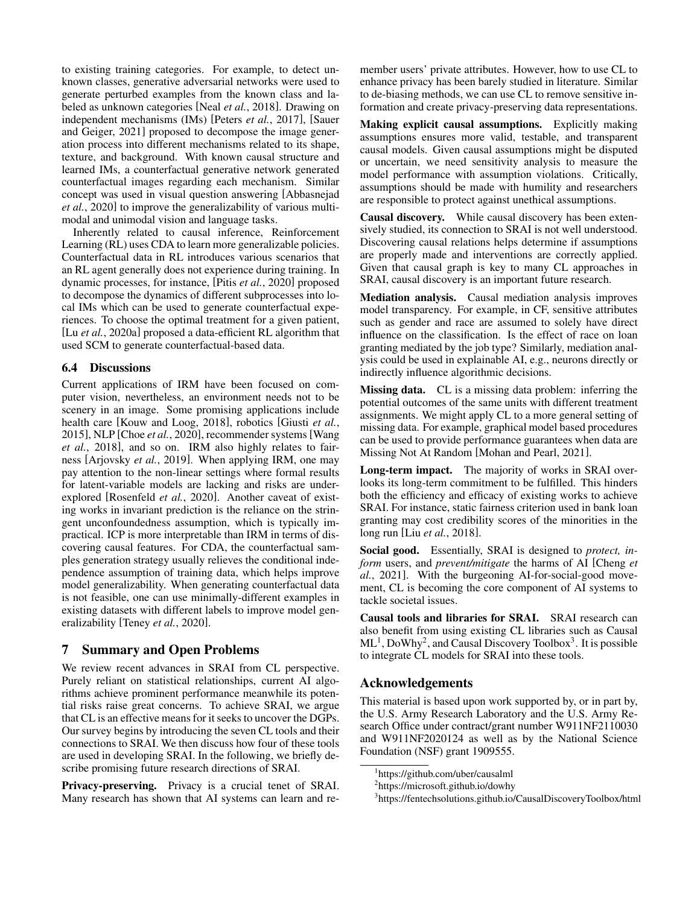to existing training categories. For example, to detect unknown classes, generative adversarial networks were used to generate perturbed examples from the known class and labeled as unknown categories [Neal *et al.*[, 2018\]](#page-7-22). Drawing on independent mechanisms (IMs) [Peters *et al.*[, 2017\]](#page-7-23), [\[Sauer](#page-7-24) [and Geiger, 2021\]](#page-7-24) proposed to decompose the image generation process into different mechanisms related to its shape, texture, and background. With known causal structure and learned IMs, a counterfactual generative network generated counterfactual images regarding each mechanism. Similar concept was used in visual question answering [\[Abbasnejad](#page-6-23) *et al.*[, 2020\]](#page-6-23) to improve the generalizability of various multimodal and unimodal vision and language tasks.

Inherently related to causal inference, Reinforcement Learning (RL) uses CDA to learn more generalizable policies. Counterfactual data in RL introduces various scenarios that an RL agent generally does not experience during training. In dynamic processes, for instance, [Pitis *et al.*[, 2020\]](#page-7-25) proposed to decompose the dynamics of different subprocesses into local IMs which can be used to generate counterfactual experiences. To choose the optimal treatment for a given patient, [Lu *et al.*[, 2020a\]](#page-6-24) proposed a data-efficient RL algorithm that used SCM to generate counterfactual-based data.

### 6.4 Discussions

Current applications of IRM have been focused on computer vision, nevertheless, an environment needs not to be scenery in an image. Some promising applications include health care [\[Kouw and Loog, 2018\]](#page-6-25), robotics [\[Giusti](#page-6-26) *et al.*, [2015\]](#page-6-26), NLP [Choe *et al.*[, 2020\]](#page-6-27), recommender systems[\[Wang](#page-7-26) *et al.*[, 2018\]](#page-7-26), and so on. IRM also highly relates to fairness [\[Arjovsky](#page-6-19) *et al.*, 2019]. When applying IRM, one may pay attention to the non-linear settings where formal results for latent-variable models are lacking and risks are underexplored [\[Rosenfeld](#page-7-27) *et al.*, 2020]. Another caveat of existing works in invariant prediction is the reliance on the stringent unconfoundedness assumption, which is typically impractical. ICP is more interpretable than IRM in terms of discovering causal features. For CDA, the counterfactual samples generation strategy usually relieves the conditional independence assumption of training data, which helps improve model generalizability. When generating counterfactual data is not feasible, one can use minimally-different examples in existing datasets with different labels to improve model generalizability [Teney *et al.*[, 2020\]](#page-7-28).

# 7 Summary and Open Problems

We review recent advances in SRAI from CL perspective. Purely reliant on statistical relationships, current AI algorithms achieve prominent performance meanwhile its potential risks raise great concerns. To achieve SRAI, we argue that CL is an effective means for it seeks to uncover the DGPs. Our survey begins by introducing the seven CL tools and their connections to SRAI. We then discuss how four of these tools are used in developing SRAI. In the following, we briefly describe promising future research directions of SRAI.

Privacy-preserving. Privacy is a crucial tenet of SRAI. Many research has shown that AI systems can learn and remember users' private attributes. However, how to use CL to enhance privacy has been barely studied in literature. Similar to de-biasing methods, we can use CL to remove sensitive information and create privacy-preserving data representations.

Making explicit causal assumptions. Explicitly making assumptions ensures more valid, testable, and transparent causal models. Given causal assumptions might be disputed or uncertain, we need sensitivity analysis to measure the model performance with assumption violations. Critically, assumptions should be made with humility and researchers are responsible to protect against unethical assumptions.

Causal discovery. While causal discovery has been extensively studied, its connection to SRAI is not well understood. Discovering causal relations helps determine if assumptions are properly made and interventions are correctly applied. Given that causal graph is key to many CL approaches in SRAI, causal discovery is an important future research.

Mediation analysis. Causal mediation analysis improves model transparency. For example, in CF, sensitive attributes such as gender and race are assumed to solely have direct influence on the classification. Is the effect of race on loan granting mediated by the job type? Similarly, mediation analysis could be used in explainable AI, e.g., neurons directly or indirectly influence algorithmic decisions.

Missing data. CL is a missing data problem: inferring the potential outcomes of the same units with different treatment assignments. We might apply CL to a more general setting of missing data. For example, graphical model based procedures can be used to provide performance guarantees when data are Missing Not At Random [\[Mohan and Pearl, 2021\]](#page-7-29).

Long-term impact. The majority of works in SRAI overlooks its long-term commitment to be fulfilled. This hinders both the efficiency and efficacy of existing works to achieve SRAI. For instance, static fairness criterion used in bank loan granting may cost credibility scores of the minorities in the long run [Liu *et al.*[, 2018\]](#page-6-28).

Social good. Essentially, SRAI is designed to *protect, inform* users, and *prevent/mitigate* the harms of AI [\[Cheng](#page-6-0) *et al.*[, 2021\]](#page-6-0). With the burgeoning AI-for-social-good movement, CL is becoming the core component of AI systems to tackle societal issues.

Causal tools and libraries for SRAI. SRAI research can also benefit from using existing CL libraries such as Causal  $ML<sup>1</sup>$  $ML<sup>1</sup>$  $ML<sup>1</sup>$ , DoWhy<sup>[2](#page-5-1)</sup>, and Causal Discovery Toolbox<sup>[3](#page-5-2)</sup>. It is possible to integrate CL models for SRAI into these tools.

# Acknowledgements

This material is based upon work supported by, or in part by, the U.S. Army Research Laboratory and the U.S. Army Research Office under contract/grant number W911NF2110030 and W911NF2020124 as well as by the National Science Foundation (NSF) grant 1909555.

<span id="page-5-0"></span><sup>1</sup> https://github.com/uber/causalml

<span id="page-5-1"></span><sup>&</sup>lt;sup>2</sup>https://microsoft.github.io/dowhy

<span id="page-5-2"></span><sup>3</sup> https://fentechsolutions.github.io/CausalDiscoveryToolbox/html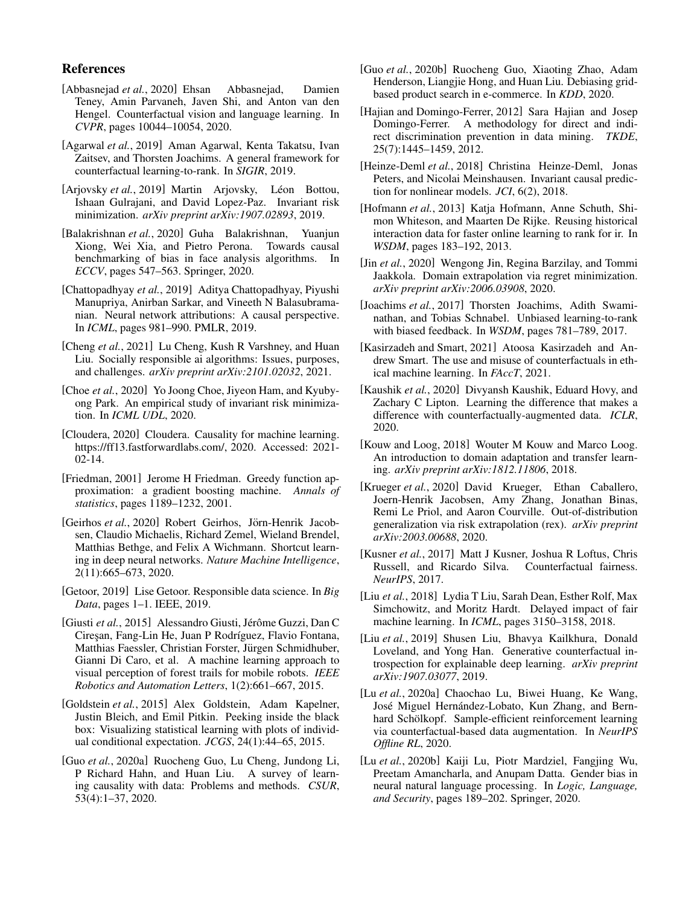# References

- <span id="page-6-23"></span>[Abbasnejad *et al.*, 2020] Ehsan Abbasnejad, Damien Teney, Amin Parvaneh, Javen Shi, and Anton van den Hengel. Counterfactual vision and language learning. In *CVPR*, pages 10044–10054, 2020.
- <span id="page-6-4"></span>[Agarwal *et al.*, 2019] Aman Agarwal, Kenta Takatsu, Ivan Zaitsev, and Thorsten Joachims. A general framework for counterfactual learning-to-rank. In *SIGIR*, 2019.
- <span id="page-6-19"></span>[Arjovsky et al., 2019] Martin Arjovsky, Léon Bottou, Ishaan Gulrajani, and David Lopez-Paz. Invariant risk minimization. *arXiv preprint arXiv:1907.02893*, 2019.
- <span id="page-6-10"></span>[Balakrishnan *et al.*, 2020] Guha Balakrishnan, Yuanjun Xiong, Wei Xia, and Pietro Perona. Towards causal benchmarking of bias in face analysis algorithms. In *ECCV*, pages 547–563. Springer, 2020.
- <span id="page-6-14"></span>[Chattopadhyay *et al.*, 2019] Aditya Chattopadhyay, Piyushi Manupriya, Anirban Sarkar, and Vineeth N Balasubramanian. Neural network attributions: A causal perspective. In *ICML*, pages 981–990. PMLR, 2019.
- <span id="page-6-0"></span>[Cheng *et al.*, 2021] Lu Cheng, Kush R Varshney, and Huan Liu. Socially responsible ai algorithms: Issues, purposes, and challenges. *arXiv preprint arXiv:2101.02032*, 2021.
- <span id="page-6-27"></span>[Choe *et al.*, 2020] Yo Joong Choe, Jiyeon Ham, and Kyubyong Park. An empirical study of invariant risk minimization. In *ICML UDL*, 2020.
- <span id="page-6-3"></span>[Cloudera, 2020] Cloudera. Causality for machine learning. [https://ff13.fastforwardlabs.com/,](https://ff13.fastforwardlabs.com/) 2020. Accessed: 2021- 02-14.
- <span id="page-6-15"></span>[Friedman, 2001] Jerome H Friedman. Greedy function approximation: a gradient boosting machine. *Annals of statistics*, pages 1189–1232, 2001.
- <span id="page-6-18"></span>[Geirhos et al., 2020] Robert Geirhos, Jörn-Henrik Jacobsen, Claudio Michaelis, Richard Zemel, Wieland Brendel, Matthias Bethge, and Felix A Wichmann. Shortcut learning in deep neural networks. *Nature Machine Intelligence*, 2(11):665–673, 2020.
- <span id="page-6-1"></span>[Getoor, 2019] Lise Getoor. Responsible data science. In *Big Data*, pages 1–1. IEEE, 2019.
- <span id="page-6-26"></span>[Giusti et al., 2015] Alessandro Giusti, Jérôme Guzzi, Dan C Cireşan, Fang-Lin He, Juan P Rodríguez, Flavio Fontana, Matthias Faessler, Christian Forster, Jürgen Schmidhuber, Gianni Di Caro, et al. A machine learning approach to visual perception of forest trails for mobile robots. *IEEE Robotics and Automation Letters*, 1(2):661–667, 2015.
- <span id="page-6-16"></span>[Goldstein *et al.*, 2015] Alex Goldstein, Adam Kapelner, Justin Bleich, and Emil Pitkin. Peeking inside the black box: Visualizing statistical learning with plots of individual conditional expectation. *JCGS*, 24(1):44–65, 2015.
- <span id="page-6-2"></span>[Guo *et al.*, 2020a] Ruocheng Guo, Lu Cheng, Jundong Li, P Richard Hahn, and Huan Liu. A survey of learning causality with data: Problems and methods. *CSUR*, 53(4):1–37, 2020.
- <span id="page-6-7"></span>[Guo *et al.*, 2020b] Ruocheng Guo, Xiaoting Zhao, Adam Henderson, Liangjie Hong, and Huan Liu. Debiasing gridbased product search in e-commerce. In *KDD*, 2020.
- <span id="page-6-12"></span>[Hajian and Domingo-Ferrer, 2012] Sara Hajian and Josep Domingo-Ferrer. A methodology for direct and indirect discrimination prevention in data mining. *TKDE*, 25(7):1445–1459, 2012.
- <span id="page-6-20"></span>[Heinze-Deml *et al.*, 2018] Christina Heinze-Deml, Jonas Peters, and Nicolai Meinshausen. Invariant causal prediction for nonlinear models. *JCI*, 6(2), 2018.
- <span id="page-6-5"></span>[Hofmann *et al.*, 2013] Katja Hofmann, Anne Schuth, Shimon Whiteson, and Maarten De Rijke. Reusing historical interaction data for faster online learning to rank for ir. In *WSDM*, pages 183–192, 2013.
- <span id="page-6-21"></span>[Jin *et al.*, 2020] Wengong Jin, Regina Barzilay, and Tommi Jaakkola. Domain extrapolation via regret minimization. *arXiv preprint arXiv:2006.03908*, 2020.
- <span id="page-6-6"></span>[Joachims *et al.*, 2017] Thorsten Joachims, Adith Swaminathan, and Tobias Schnabel. Unbiased learning-to-rank with biased feedback. In *WSDM*, pages 781–789, 2017.
- <span id="page-6-13"></span>[Kasirzadeh and Smart, 2021] Atoosa Kasirzadeh and Andrew Smart. The use and misuse of counterfactuals in ethical machine learning. In *FAccT*, 2021.
- <span id="page-6-8"></span>[Kaushik *et al.*, 2020] Divyansh Kaushik, Eduard Hovy, and Zachary C Lipton. Learning the difference that makes a difference with counterfactually-augmented data. *ICLR*, 2020.
- <span id="page-6-25"></span>[Kouw and Loog, 2018] Wouter M Kouw and Marco Loog. An introduction to domain adaptation and transfer learning. *arXiv preprint arXiv:1812.11806*, 2018.
- <span id="page-6-22"></span>[Krueger *et al.*, 2020] David Krueger, Ethan Caballero, Joern-Henrik Jacobsen, Amy Zhang, Jonathan Binas, Remi Le Priol, and Aaron Courville. Out-of-distribution generalization via risk extrapolation (rex). *arXiv preprint arXiv:2003.00688*, 2020.
- <span id="page-6-11"></span>[Kusner *et al.*, 2017] Matt J Kusner, Joshua R Loftus, Chris Russell, and Ricardo Silva. Counterfactual fairness. *NeurIPS*, 2017.
- <span id="page-6-28"></span>[Liu *et al.*, 2018] Lydia T Liu, Sarah Dean, Esther Rolf, Max Simchowitz, and Moritz Hardt. Delayed impact of fair machine learning. In *ICML*, pages 3150–3158, 2018.
- <span id="page-6-17"></span>[Liu *et al.*, 2019] Shusen Liu, Bhavya Kailkhura, Donald Loveland, and Yong Han. Generative counterfactual introspection for explainable deep learning. *arXiv preprint arXiv:1907.03077*, 2019.
- <span id="page-6-24"></span>[Lu *et al.*, 2020a] Chaochao Lu, Biwei Huang, Ke Wang, José Miguel Hernández-Lobato, Kun Zhang, and Bernhard Schölkopf. Sample-efficient reinforcement learning via counterfactual-based data augmentation. In *NeurIPS Offline RL*, 2020.
- <span id="page-6-9"></span>[Lu *et al.*, 2020b] Kaiji Lu, Piotr Mardziel, Fangjing Wu, Preetam Amancharla, and Anupam Datta. Gender bias in neural natural language processing. In *Logic, Language, and Security*, pages 189–202. Springer, 2020.